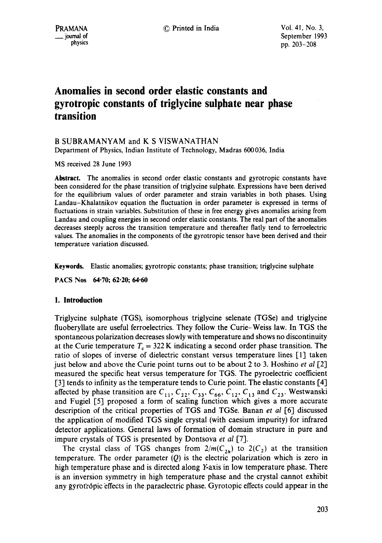# **Anomalies in second order elastic constants and gyrotropic constants of triglycine sulphate near phase transition**

## B SUBRAMANYAM and K S VISWANATHAN

Department of Physics, Indian Institute of Technology, Madras 600036, India

MS received 28 June 1993

Abstract. The anomalies in second order elastic constants and gyrotropic constants have been considered for the phase transition of triglycine sulphate. Expressions have been derived for the equilibrium values of order parameter and strain variables in both phases. Using Landau-Khalatnikov equation the fluctuation in order parameter is expressed in terms of fluctuations in strain variables. Substitution of these in free energy gives anomalies arising from Landau and coupling energies in second order elastic constants. The real part of the anomalies decreases steeply across the transition temperature and thereafter flatly tend to ferroelectric values. The anomalies in the components of the gyrotropic tensor have been derived and their temperature variation discussed.

**Keywords.** Elastic anomalies; gyrotropic constants; phase transition; triglycine sulphate

PACS Nos 64.70; 62.20; 64.60

## **1. Introduction**

Triglycine sulphate (TGS), isomorphous triglycine selenate (TGSe) and triglycine fluoberyllate are useful ferroelectrics. They follow the Curie-Weiss law. In TGS the spontaneous polarization decreases slowly with temperature and shows no discontinuity at the Curie temperature  $T<sub>c</sub> = 322$  K indicating a second order phase transition. The ratio of slopes of inverse of dielectric constant versus temperature lines [1] taken just below and above the Curie point turns out to be about 2 to 3. Hoshino *et al* [2] measured the specific heat versus temperature for TGS. The pyroelectric coefficient [3] tends to infinity as the temperature tends to Curie point. The elastic constants [4] affected by phase transition are  $C_{11}$ ,  $C_{22}$ ,  $C_{33}$ ,  $C_{66}$ ,  $C_{12}$ ,  $C_{13}$  and  $C_{23}$ . Westwanski and Fugiel [5] proposed a form of scaling function which gives a more accurate description of the critical properties of TGS and TGSe. Banan *et al* 1-6] discussed the application of modified TGS single crystal (with caesium impurity) for infrared detector applications. General laws of formation of domain structure in pure and impure crystals of TGS is presented by Dontsova *et al* [7].

The crystal class of TGS changes from  $2/m(C_{2h})$  to  $2(C_2)$  at the transition temperature. The order parameter  $(Q)$  is the electric polarization which is zero in high temperature phase and is directed along Y-axis in low temperature phase. There is an inversion symmetry in high temperature phase and the crystal cannot exhibit any gyrotropic effects in the paraelectric phase. Gyrotopic effects could appear in the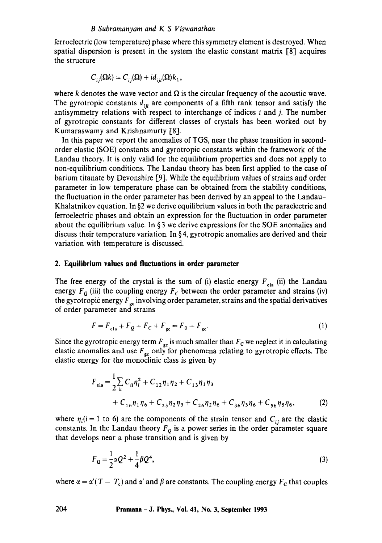#### *B Subramanyam and K S Viswanathan*

ferroelectric (low temperature) phase where this symmetry element is destroyed. When spatial dispersion is present in the system the elastic constant matrix [81 acquires the structure

$$
C_{ii}(\Omega k) = C_{ii}(\Omega) + id_{ii}(\Omega)k_1,
$$

where k denotes the wave vector and  $\Omega$  is the circular frequency of the acoustic wave. The gyrotropic constants  $d_{ijl}$  are components of a fifth rank tensor and satisfy the antisymmetry relations with respect to interchange of indices  $i$  and  $j$ . The number of gyrotropic constants for different classes of crystals has been worked out by Kumaraswamy and Krishnamurty [8].

In this paper we report the anomalies of TGS, near the phase transition in secondorder elastic (SOE) constants and gyrotropic constants within the framework of the Landau theory. It is only valid for the equilibrium properties and does not apply to non-equilibrium conditions. The Landau theory has been first applied to the case of barium titanate by Devonshire [9]. While the equilibrium values of strains and order parameter in low temperature phase can be obtained from the stability conditions, the fluctuation in the order parameter has been derived by an appeal to the Landau-Khalatnikov equation. In §2 we derive equilibrium values in both the paraelectric and ferroelectric phases and obtain an expression for the fluctuation in order parameter about the equilibrium value. In  $\S$  3 we derive expressions for the SOE anomalies and discuss their temperature variation. In § 4, gyrotropic anomalies are derived and their variation with temperature is discussed.

#### **2. Equilibrium values and fluctuations in order parameter**

The free energy of the crystal is the sum of (i) elastic energy  $F_{ela}$  (ii) the Landau energy  $F<sub>o</sub>$  (iii) the coupling energy  $F<sub>c</sub>$  between the order parameter and strains (iv) the gyrotropic energy  $F_{gc}$  involving order parameter, strains and the spatial derivatives of order parameter and strains

$$
F = F_{\text{ela}} + F_Q + F_C + F_{\text{gc}} = F_0 + F_{\text{gc}}.\tag{1}
$$

Since the gyrotropic energy term  $F_{\rm gc}$  is much smaller than  $F_{\rm C}$  we neglect it in calculating elastic anomalies and use  $F_{\text{gc}}$  only for phenomena relating to gyrotropic effects. The elastic energy for the monoclinic class is given by

$$
F_{ela} = \frac{1}{2} \sum_{ii} C_{ii} \eta_i^2 + C_{12} \eta_1 \eta_2 + C_{13} \eta_1 \eta_3
$$
  
+  $C_{16} \eta_1 \eta_6 + C_{23} \eta_2 \eta_3 + C_{26} \eta_2 \eta_6 + C_{36} \eta_3 \eta_6 + C_{56} \eta_5 \eta_6,$  (2)

where  $\eta_i(i = 1 \text{ to } 6)$  are the components of the strain tensor and  $C_{ii}$  are the elastic constants. In the Landau theory  $F<sub>o</sub>$  is a power series in the order parameter square that develops near a phase transition and is given by

$$
F_Q = \frac{1}{2}\alpha Q^2 + \frac{1}{4}\beta Q^4,\tag{3}
$$

where  $\alpha = \alpha'(T - T_c)$  and  $\alpha'$  and  $\beta$  are constants. The coupling energy  $F_c$  that couples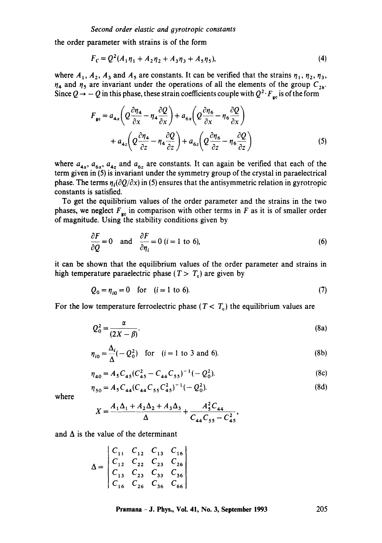the order parameter with strains is of the form

$$
F_C = Q^2(A_1\eta_1 + A_2\eta_2 + A_3\eta_3 + A_5\eta_5),
$$
\n(4)

where  $A_1$ ,  $A_2$ ,  $A_3$  and  $A_5$  are constants. It can be verified that the strains  $\eta_1$ ,  $\eta_2$ ,  $\eta_3$ ,  $\eta_4$  and  $\eta_5$  are invariant under the operations of all the elements of the group  $C_{2h}$ . Since  $Q \rightarrow -Q$  in this phase, these strain coefficients couple with  $Q^2 \cdot F_{gc}$  is of the form

$$
F_{\rm gc} = a_{4x} \left( Q \frac{\partial \eta_4}{\partial x} - \eta_4 \frac{\partial Q}{\partial x} \right) + a_{6x} \left( Q \frac{\partial \eta_6}{\partial x} - \eta_6 \frac{\partial Q}{\partial x} \right) + a_{4z} \left( Q \frac{\partial \eta_4}{\partial z} - \eta_4 \frac{\partial Q}{\partial z} \right) + a_{6z} \left( Q \frac{\partial \eta_6}{\partial z} - \eta_6 \frac{\partial Q}{\partial z} \right)
$$
(5)

where  $a_{4x}$ ,  $a_{6x}$ ,  $a_{4z}$  and  $a_{6z}$  are constants. It can again be verified that each of the term given in (5) is invariant under the symmetry group of the crystal in paraelectrical phase. The terms  $\eta_i(\partial Q/\partial x)$  in (5) ensures that the antisymmetric relation in gyrotropic constants is satisfied.

To get the equilibrium values of the order parameter and the strains in the two phases, we neglect  $F_{\rm gc}$  in comparison with other terms in F as it is of smaller order of magnitude. Using the stability conditions given by

$$
\frac{\partial F}{\partial Q} = 0 \quad \text{and} \quad \frac{\partial F}{\partial \eta_i} = 0 \ (i = 1 \text{ to } 6), \tag{6}
$$

it can be shown that the equilibrium values of the order parameter and strains in high temperature paraelectric phase ( $T > T_c$ ) are given by

$$
Q_0 = \eta_{i0} = 0 \quad \text{for} \quad (i = 1 \text{ to } 6). \tag{7}
$$

For the low temperature ferroelectric phase ( $T < T<sub>c</sub>$ ) the equilibrium values are

$$
Q_0^2 = \frac{\alpha}{(2X - \beta)}.\tag{8a}
$$

$$
\eta_{i0} = \frac{\Delta_i}{\Delta}(-Q_0^2) \quad \text{for} \quad (i = 1 \text{ to } 3 \text{ and } 6). \tag{8b}
$$

$$
\eta_{40} = A_5 C_{45} (C_{45}^2 - C_{44} C_{55})^{-1} (-Q_0^2).
$$
 (8c)

$$
\eta_{50} = A_5 C_{44} (C_{44} C_{55} C_{45}^2)^{-1} (-Q_0^2). \tag{8d}
$$

where

$$
X = \frac{A_1 \Delta_1 + A_2 \Delta_2 + A_3 \Delta_3}{\Delta} + \frac{A_5^2 C_{44}}{C_{44} C_{55} - C_{45}^2},
$$

and  $\Delta$  is the value of the determinant

$$
\Delta = \begin{vmatrix} C_{11} & C_{12} & C_{13} & C_{16} \\ C_{12} & C_{22} & C_{23} & C_{26} \\ C_{13} & C_{23} & C_{33} & C_{36} \\ C_{16} & C_{26} & C_{36} & C_{66} \end{vmatrix}
$$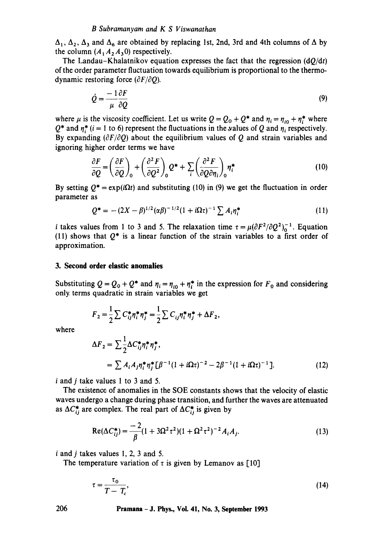#### *B Subramanyam and K S Viswanathan*

 $\Delta_1$ ,  $\Delta_2$ ,  $\Delta_3$  and  $\Delta_6$  are obtained by replacing 1st, 2nd, 3rd and 4th columns of  $\Delta$  by the column  $(A_1A_2A_30)$  respectively.

The Landau–Khalatnikov equation expresses the fact that the regression  $(dQ/dt)$ of the order parameter fluctuation towards equilibrium is proportional to the thermodynamic restoring force  $(\partial F/\partial Q)$ .

$$
\dot{Q} = \frac{-1}{\mu} \frac{\partial F}{\partial Q} \tag{9}
$$

where  $\mu$  is the viscosity coefficient. Let us write  $Q = Q_0 + Q^*$  and  $\eta_i = \eta_{i0} + \eta_i^*$  where  $Q^*$  and  $\eta_i^*$  (i = 1 to 6) represent the fluctuations in the values of Q and  $\eta_i$  respectively. By expanding  $(\partial F/\partial Q)$  about the equilibrium values of Q and strain variables and ignoring higher order terms we have

$$
\frac{\partial F}{\partial Q} = \left(\frac{\partial F}{\partial Q}\right)_0 + \left(\frac{\partial^2 F}{\partial Q^2}\right)_0 Q^* + \sum_i \left(\frac{\partial^2 F}{\partial Q \partial \eta_i}\right)_0 \eta_i^* \tag{10}
$$

By setting  $Q^* = \exp(i\Omega t)$  and substituting (10) in (9) we get the fluctuation in order parameter as

$$
Q^* = -(2X - \beta)^{1/2} (\alpha \beta)^{-1/2} (1 + i\Omega \tau)^{-1} \sum A_i \eta_i^* \tag{11}
$$

*i* takes values from 1 to 3 and 5. The relaxation time  $\tau = \mu(\partial F^2/\partial Q^2)_0^{-1}$ . Equation (11) shows that  $Q^*$  is a linear function of the strain variables to a first order of approximation.

#### **3. Second order elastic anomalies**

Substituting  $Q = Q_0 + Q^*$  and  $\eta_i = \eta_{i0} + \eta_i^*$  in the expression for  $F_0$  and considering only. terms quadratic in strain variables we get

$$
F_2 = \frac{1}{2} \sum C_{ij}^* \eta_i^* \eta_j^* = \frac{1}{2} \sum C_{ij} \eta_i^* \eta_j^* + \Delta F_2,
$$

where

$$
\Delta F_2 = \sum \frac{1}{2} \Delta C_{ij}^* \eta_i^* \eta_j^*,
$$
  
=  $\sum A_i A_j \eta_i^* \eta_j^* [\beta^{-1} (1 + i\Omega \tau)^{-2} - 2\beta^{-1} (1 + i\Omega \tau)^{-1}].$  (12)

i and j take values 1 to 3 and 5.

The existence of anomalies in the SOE constants shows that the velocity of elastic waves undergo a change during phase transition, and further the waves are attenuated as  $\Delta C_{ii}^*$  are complex. The real part of  $\Delta C_{ii}^*$  is given by

$$
Re(\Delta C_{ij}^*) = \frac{-2}{\beta} (1 + 3\Omega^2 \tau^2)(1 + \Omega^2 \tau^2)^{-2} A_i A_j.
$$
 (13)

**i and j** takes values **1, 2, 3 and 5.** 

The temperature variation of  $\tau$  is given by Lemanov as [10]

$$
\tau = \frac{\tau_0}{T - T_c},\tag{14}
$$

**206 Pramana- J. Phys., Voi. 41, No. 3, September 1993**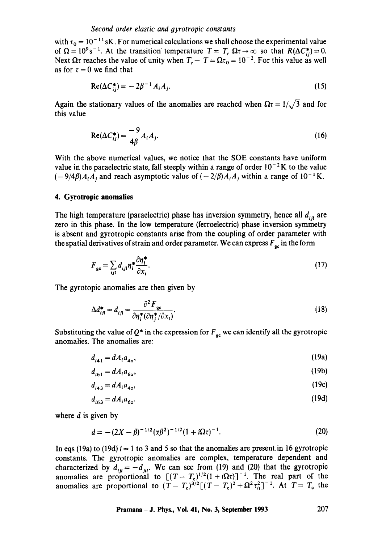with  $\tau_0 = 10^{-11}$  sK. For numerical calculations we shall choose the experimental value of  $\Omega = 10^9$ s<sup>-1</sup>. At the transition temperature  $T = T_c \Omega \tau \rightarrow \infty$  so that  $R(\Delta C^*_{ii})= 0$ . Next  $\Omega \tau$  reaches the value of unity when  $T_c - T = \Omega \tau_0 = 10^{-2}$ . For this value as well as for  $\tau=0$  we find that

$$
Re(\Delta C_{ii}^*) = -2\beta^{-1} A_i A_i.
$$
 (15)

Again the stationary values of the anomalies are reached when  $\Omega \tau = 1/\sqrt{3}$  and for this value

$$
\operatorname{Re}(\Delta C_{ij}^*) = \frac{-9}{4\beta} A_i A_j. \tag{16}
$$

With the above numerical values, we notice that the SOE constants have uniform value in the paraelectric state, fall steeply within a range of order  $10^{-2}$ K to the value  $(-9/4\beta)A_iA_j$  and reach asymptotic value of  $(-2/\beta)A_iA_j$  within a range of  $10^{-1}$ K.

#### **4. Gyrotropic anomalies**

The high temperature (paraelectric) phase has inversion symmetry, hence all  $d_{ijl}$  are zero in this phase. In the low temperature (ferroelectric) phase inversion symmetry is absent and gyrotropic constants arise from the coupling of order parameter with the spatial derivatives of strain and order parameter. We can express  $F_{gc}$  in the form

$$
F_{\rm gc} = \sum_{ijl} d_{ijl} \eta_i^* \frac{\partial \eta_i^*}{\partial x_i}.
$$
 (17)

The gyrotopic anomalies are then given by

$$
\Delta d_{ijl}^* = d_{ijl} = \frac{\partial^2 F_{\text{gc}}}{\partial \eta_i^* (\partial \eta_j^* / \partial x_l)}.
$$
\n(18)

Substituting the value of  $Q^*$  in the expression for  $F_{\alpha}$  we can identify all the gyrotropic anomalies. The anomalies are:

$$
d_{i+1} = dA_i a_{4x},\tag{19a}
$$

$$
d_{i61} = dA_i a_{6x},\tag{19b}
$$

$$
d_{i43} = dA_i a_{42},\tag{19c}
$$

$$
d_{i63} = dA_i a_{6z}.\tag{19d}
$$

where  $d$  is given by

$$
d = -(2X - \beta)^{-1/2} (\alpha \beta^2)^{-1/2} (1 + i\Omega \tau)^{-1}.
$$
 (20)

In eqs (19a) to (19d)  $i = 1$  to 3 and 5 so that the anomalies are present in 16 gyrotropic constants. The gyrotropic anomalies are complex, temperature dependent and characterized by  $d_{ij} = -d_{ij}$ . We can see from (19) and (20) that the gyrotropic anomalies are proportional to  $[(T-T_c)^{1/2}(1+i\Omega\tau)]^{-1}$ . The real part of the anomalies are proportional to  $(T-T_e)^{3/2}\left[(T-T_e)^2+\Omega^2\tau_0^2\right]^{-1}$ . At  $T=T_e$  the